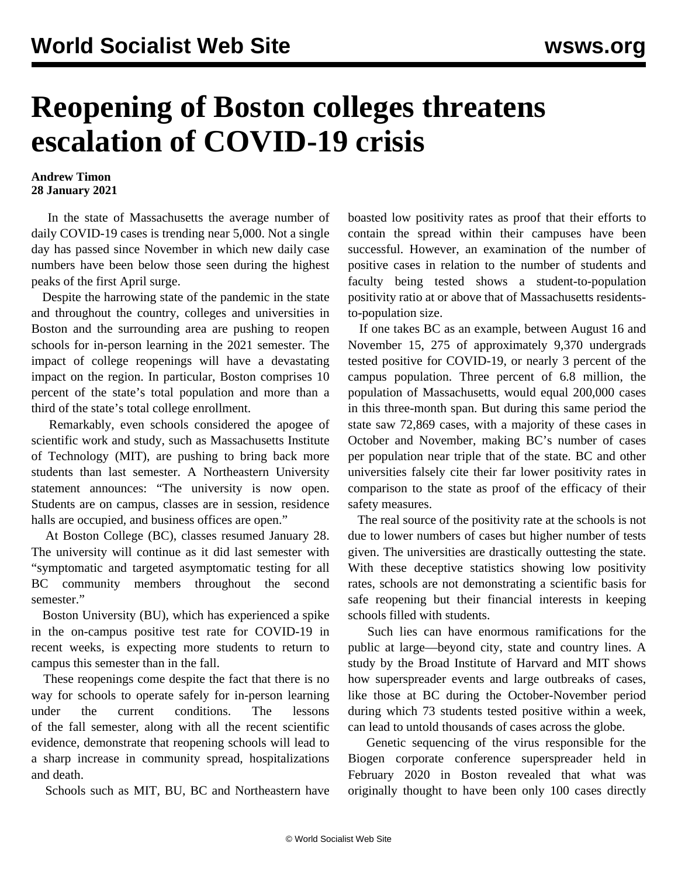## **Reopening of Boston colleges threatens escalation of COVID-19 crisis**

## **Andrew Timon 28 January 2021**

 In the state of Massachusetts the average number of daily COVID-19 cases is trending near 5,000. Not a single day has passed since November in which new daily case numbers have been below those seen during the highest peaks of the first April surge.

 Despite the harrowing state of the pandemic in the state and throughout the country, colleges and universities in Boston and the surrounding area are pushing to reopen schools for in-person learning in the 2021 semester. The impact of college reopenings will have a devastating impact on the region. In particular, Boston comprises 10 percent of the state's total population and more than a third of the state's total college enrollment.

 Remarkably, even schools considered the apogee of scientific work and study, such as Massachusetts Institute of Technology (MIT), are pushing to bring back more students than last semester. A Northeastern University statement announces: "The university is now open. Students are on campus, classes are in session, residence halls are occupied, and business offices are open."

 At Boston College (BC), classes resumed January 28. The university will continue as it did last semester with "symptomatic and targeted asymptomatic testing for all BC community members throughout the second semester."

 Boston University (BU), which has experienced a spike in the on-campus positive test rate for COVID-19 in recent weeks, is expecting more students to return to campus this semester than in the fall.

 These reopenings come despite the fact that there is no way for schools to operate safely for in-person learning under the current conditions. The [lessons](/en/articles/2020/12/17/coll-d17.html) [of the fall semester,](/en/articles/2020/12/17/coll-d17.html) along with all the recent scientific evidence, demonstrate that reopening schools will lead to a sharp increase in community spread, hospitalizations and death.

Schools such as MIT, BU, BC and Northeastern have

boasted low positivity rates as proof that their efforts to contain the spread within their campuses have been successful. However, an examination of the number of positive cases in relation to the number of students and faculty being tested shows a student-to-population positivity ratio at or above that of Massachusetts residentsto-population size.

 If one takes BC as an example, between August 16 and November 15, 275 of approximately 9,370 undergrads tested positive for COVID-19, or nearly 3 percent of the campus population. Three percent of 6.8 million, the population of Massachusetts, would equal 200,000 cases in this three-month span. But during this same period the state saw 72,869 cases, with a majority of these cases in October and November, making BC's number of cases per population near triple that of the state. BC and other universities falsely cite their far lower positivity rates in comparison to the state as proof of the efficacy of their safety measures.

 The real source of the positivity rate at the schools is not due to lower numbers of cases but higher number of tests given. The universities are drastically outtesting the state. With these deceptive statistics showing low positivity rates, schools are not demonstrating a scientific basis for safe reopening but their financial interests in keeping schools filled with students.

 Such lies can have enormous ramifications for the public at large—beyond city, state and country lines. A study by the Broad Institute of Harvard and MIT shows how superspreader events and large outbreaks of cases, like those at BC during the October-November period during which 73 students tested positive within a week, can lead to untold thousands of cases across the globe.

 Genetic sequencing of the virus responsible for the Biogen corporate conference superspreader held in February 2020 in Boston revealed that what was originally thought to have been only 100 cases directly